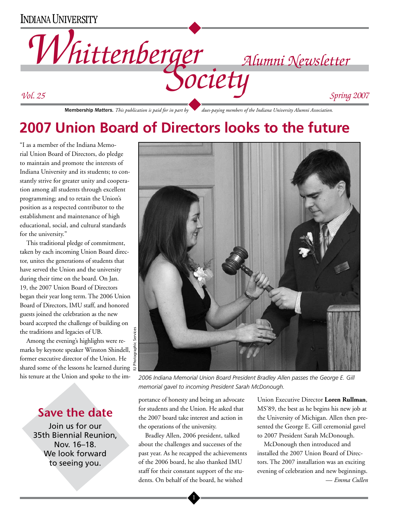# **INDIANA UNIVERSITY**



**2007 Union Board of Directors looks to the future**

"I as a member of the Indiana Memorial Union Board of Directors, do pledge to maintain and promote the interests of Indiana University and its students; to constantly strive for greater unity and cooperation among all students through excellent programming; and to retain the Union's position as a respected contributor to the establishment and maintenance of high educational, social, and cultural standards for the university."

This traditional pledge of commitment, taken by each incoming Union Board director, unites the generations of students that have served the Union and the university during their time on the board. On Jan. 19, the 2007 Union Board of Directors began their year long term. The 2006 Union Board of Directors, IMU staff, and honored guests joined the celebration as the new board accepted the challenge of building on the traditions and legacies of UB.

Among the evening's highlights were remarks by keynote speaker Winston Shindell, former executive director of the Union. He shared some of the lessons he learned during  $\frac{6}{5}$ his tenure at the Union and spoke to the im-

# **Save the date**

Join us for our 35th Biennial Reunion, Nov. 16–18. We look forward to seeing you.



*2006 Indiana Memorial Union Board President Bradley Allen passes the George E. Gill memorial gavel to incoming President Sarah McDonough.*

portance of honesty and being an advocate for students and the Union. He asked that the 2007 board take interest and action in the operations of the university.

Bradley Allen, 2006 president, talked about the challenges and successes of the past year. As he recapped the achievements of the 2006 board, he also thanked IMU staff for their constant support of the students. On behalf of the board, he wished

 $\mathbf{l}$ 

Union Executive Director **Loren Rullman**, MS'89, the best as he begins his new job at the University of Michigan. Allen then presented the George E. Gill ceremonial gavel to 2007 President Sarah McDonough.

McDonough then introduced and installed the 2007 Union Board of Directors. The 2007 installation was an exciting evening of celebration and new beginnings. — *Emma Cullen*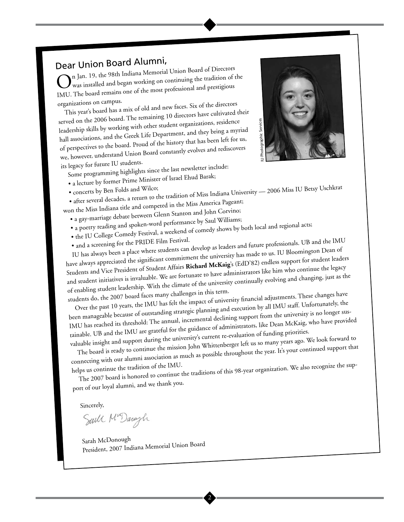Dear Union Board Alumni,<br>
n Jan. 19, the 98th Indiana Memorial Union Board of Directors On Jan. 19, the 98th Indiana Memorial Union Board of Directors<br>Owas installed and began working on continuing the tradition of the IMU. The board remains one of the most professional and prestigious organizations on campus.

This year's board has a mix of old and new faces. Six of the directors served on the 2006 board. The remaining 10 directors have cultivated their leadership skills by working with other student organizations, residence hall associations, and the Greek Life Department, and they bring a myriad of perspectives to the board. Proud of the history that has been left for us, we, however, understand Union Board constantly evolves and rediscovers its legacy for future IU students.



Some programming highlights since the last newsletter include:

• a lecture by former Prime Minister of Israel Ehud Barak;

- 
- concerts by Ben Folds and Wilco;<br>• after several decades, a return to the tradition of Miss Indiana University 2006 Miss IU Betsy Uschkrat
- 

won the Miss Indiana title and competed in the Miss America Pageant; • a gay-marriage debate between Glenn Stanton and John Corvino;

- a poetry reading and spoken-word performance by Saul Williams;
- the IU College Comedy Festival, a weekend of comedy shows by both local and regional acts;
- 

• and a screening for the PRIDE Film Festival. IU has always been a place where students can develop as leaders and future professionals. UB and the IMU have always appreciated the significant commitment the university has made to us. IU Bloomington Dean of Students and Vice President of Student Affairs **Richard McKaig**'s (EdD'82) endless support for student leaders and student initiatives is invaluable. We are fortunate to have administrators like him who continue the legacy of enabling student leadership. With the climate of the university continually evolving and changing, just as the

students do, the 2007 board faces many challenges in this term. Over the past 10 years, the IMU has felt the impact of university financial adjustments. These changes have

been manageable because of outstanding strategic planning and execution by all IMU staff. Unfortunately, the IMU has reached its threshold: The annual, incremental declining support from the university is no longer sustainable. UB and the IMU are grateful for the guidance of administrators, like Dean McKaig, who have provided valuable insight and support during the university's current re-evaluation of funding priorities.

The board is ready to continue the mission John Whittenberger left us so many years ago. We look forward to connecting with our alumni association as much as possible throughout the year. It's your continued support that

helps us continue the tradition of the IMU. The 2007 board is honored to continue the traditions of this 98-year organization. We also recognize the sup-

port of our loyal alumni, and we thank you.

Sincerely,

Saill Ma Daragh

Sarah McDonough President, 2007 Indiana Memorial Union Board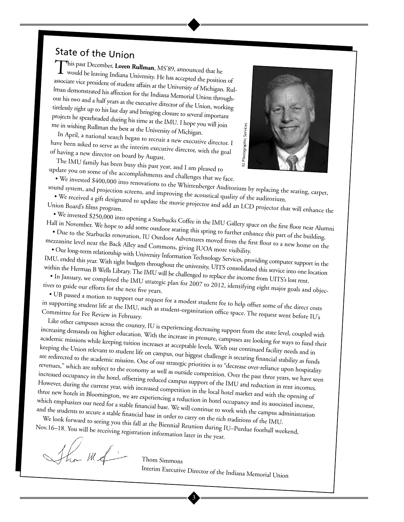# State of the Union

This past December, **Loren Rullman**, MS'89, announced that he would be leaving Indiana University. He has accepted the position of associate vice president of student affairs at the University of Michigan. Rul lman demonstrated his affection for the Indiana Memorial Union through out his two and a half years as the executive director of the Union, working tirelessly right up to his last day and bringing closure to several important projects he spearheaded during his time at the IMU. I hope you will join me in wishing Rullman the best at the University of Michigan.

In April, a national search began to recruit a new executive director. I have been asked to serve as the interim executive director, with the goal of having a new director on board by August.

The IMU family has been busy this past year, and I am pleased to update you on some of the accomplishments and challenges that we face.



• We invested \$400,000 into renovations to the Whittenberger Auditorium by replacing the seating, carpet, sound system, and projection screens, and improving the acoustical quality of the auditorium.

• We received a gift designated to update the movie projector and add an LCD projector that will enhance the Union Board's films program.

• We invested \$250,000 into opening a Starbucks Coffee in the IMU Gallery space on the first floor near Alumni

Hall in November. We hope to add some outdoor seating this spring to further enhance this part of the building. • Due to the Starbucks renovation, IU Outdoor Adventures moved from the first floor to a new home on the mezzanine level near the Back Alley and Commons, giving IUOA more visibility.

• Our long-term relationship with University Information Technology Services, providing computer support in the IMU, ended this year. With tight budgets throughout the university, UITS consolidated this service into one location

within the Herman B Wells Library. The IMU will be challenged to replace the income from UITS's lost rent. • In January, we completed the IMU strategic plan for 2007 to 2012, identifying eight major goals and objectives to guide our efforts for the next five years.

• UB passed a motion to support our request for a modest student fee to help offset some of the direct costs in supporting student life at the IMU, such as student-organization office space. The request went before IU's Committee for Fee Review in February.

Like other campuses across the country, IU is experiencing decreasing support from the state level, coupled with increasing demands on higher education. With the increase in pressure, campuses are looking for ways to fund their academic missions while keeping tuition increases at acceptable levels. With our continued facility needs and in keeping the Union relevant to student life on campus, our biggest challenge is securing financial stability as funds are redirected to the academic mission. One of our strategic priorities is to "decrease over-reliance upon hospitality revenues," which are subject to the economy as well as outside competition. Over the past three years, we have seen increased occupancy in the hotel, offsetting reduced campus support of the IMU and reduction in rent incomes. However, during the current year, with increased competition in the local hotel market and with the opening of three new hotels in Bloomington, we are experiencing a reduction in hotel occupancy and its associated income, which emphasizes our need for a stable financial base. We will continue to work with the campus administration me in interim spectral at this case of the based of the spectral at the INI and the Based of the spectral at the INI and the INI and the INI and the INI and the INI and the INI and the INI and the INI and the INI and the

and the students to secure a stable financial base in order to carry on the rich traditions of the IMU. We look forward to seeing you this fall at the Biennial Reunion during IU–Purdue football weekend, Nov.16–18. You will be receiving registration information later in the year.

Thom Simmons

 $\overline{\mathbf{3}}$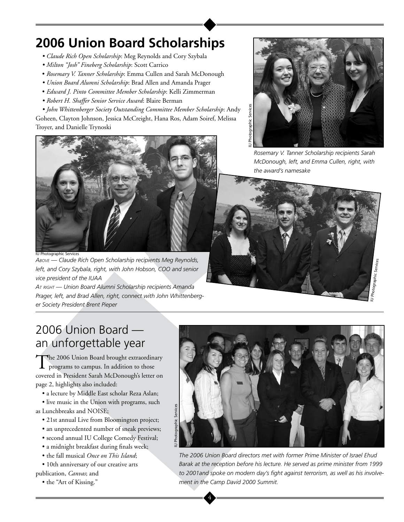# **2006 Union Board Scholarships**

- *Claude Rich Open Scholarship*: Meg Reynolds and Cory Szybala
- *Milton "Josh" Fineberg Scholarship*: Scott Carrico
- *Rosemary V. Tanner Scholarship*: Emma Cullen and Sarah McDonough
- *Union Board Alumni Scholarship*: Brad Allen and Amanda Prager
- *Edward J. Pinto Committee Member Scholarship*: Kelli Zimmerman
- *Robert H. Shaffer Senior Service Award*: Blaire Berman

*• John Whittenberger Society Outstanding Committee Member Scholarship*: Andy Goheen, Clayton Johnson, Jessica McCreight, Hana Ros, Adam Soiref, Melissa Troyer, and Danielle Trynoski



IU Photographic Services

*Above — Claude Rich Open Scholarship recipients Meg Reynolds, left, and Cory Szybala, right, with John Hobson, COO and senior vice president of the IUAA* 

*At right — Union Board Alumni Scholarship recipients Amanda Prager, left, and Brad Allen, right, connect with John Whittenberger Society President Brent Pieper*



*Rosemary V. Tanner Scholarship recipients Sarah McDonough, left, and Emma Cullen, right, with the award's namesake*



# 2006 Union Board an unforgettable year

The 2006 Union Board brought extraordinary programs to campus. In addition to those covered in President Sarah McDonough's letter on page 2, highlights also included:

- a lecture by Middle East scholar Reza Aslan;
- live music in the Union with programs, such
- as Lunchbreaks and NOISE;
	- 21st annual Live from Bloomington project;
	- an unprecedented number of sneak previews;
	- second annual IU College Comedy Festival;
	- a midnight breakfast during finals week;
	- the fall musical *Once on This Island*;
- 10th anniversary of our creative arts publication, *Canvas*; and
	- the "Art of Kissing."



*The 2006 Union Board directors met with former Prime Minister of Israel Ehud Barak at the reception before his lecture. He served as prime minister from 1999 to 2001and spoke on modern day's fight against terrorism, as well as his involvement in the Camp David 2000 Summit.*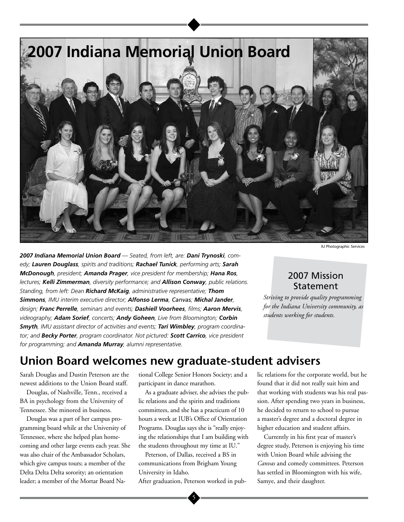

*2007 Indiana Memorial Union Board — Seated, from left, are: Dani Trynoski, comedy; Lauren Douglass, spirits and traditions; Rachael Tunick, performing arts; Sarah McDonough, president; Amanda Prager, vice president for membership; Hana Ros, lectures; Kelli Zimmerman, diversity performance; and Allison Conway, public relations. Standing, from left: Dean Richard McKaig, administrative representative; Thom Simmons, IMU interim executive director; Alfonso Lerma, Canvas; Michal Jander, design; Franc Perrelle, seminars and events; Dashiell Voorhees, films; Aaron Mervis, videography; Adam Sorief, concerts; Andy Goheen, Live from Bloomington; Corbin Smyth, IMU assistant director of activities and events; Tari Wimbley, program coordinator; and Becky Porter, program coordinator. Not pictured: Scott Carrico, vice president for programming; and Amanda Murray, alumni representative.*

IU Photographic Services

### 2007 Mission Statement

*Striving to provide quality programming for the Indiana University community, as students working for students.*

# **Union Board welcomes new graduate-student advisers**

Sarah Douglas and Dustin Peterson are the newest additions to the Union Board staff.

Douglas, of Nashville, Tenn., received a BA in psychology from the University of Tennessee. She minored in business.

Douglas was a part of her campus programming board while at the University of Tennessee, where she helped plan homecoming and other large events each year. She was also chair of the Ambassador Scholars, which give campus tours; a member of the Delta Delta Delta sorority; an orientation leader; a member of the Mortar Board National College Senior Honors Society; and a participant in dance marathon.

As a graduate adviser, she advises the public relations and the spirits and traditions committees, and she has a practicum of 10 hours a week at IUB's Office of Orientation Programs. Douglas says she is "really enjoying the relationships that I am building with the students throughout my time at IU."

Peterson, of Dallas, received a BS in communications from Brigham Young University in Idaho.

After graduation, Peterson worked in pub-

lic relations for the corporate world, but he found that it did not really suit him and that working with students was his real passion. After spending two years in business, he decided to return to school to pursue a master's degree and a doctoral degree in higher education and student affairs.

Currently in his first year of master's degree study, Peterson is enjoying his time with Union Board while advising the *Canvas* and comedy committees. Peterson has settled in Bloomington with his wife, Samye, and their daughter.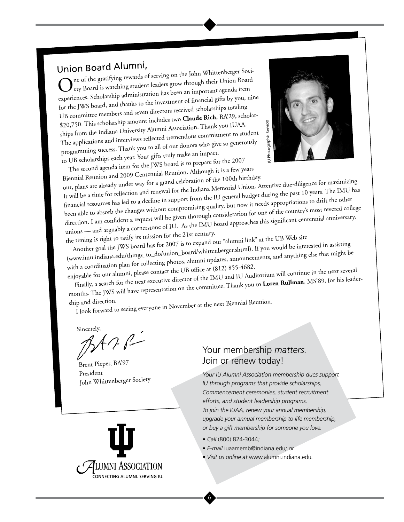Union Board Alumni,<br>
The of the gratifying rewards of serving on the John Whittenberger Soci-Onton Board 7 warm of<br>
One of the gratifying rewards of serving on the John Whittenberger Soci-<br>
Lety Board is watching student leaders grow through their Union Board experiences. Scholarship administration has been an important agenda item for the JWS board, and thanks to the investment of financial gifts by you, nine UB committee members and seven directors received scholarships totaling \$20,750. This scholarship amount includes two **Claude Rich**, BA'29, scholarships from the Indiana University Alumni Association. Thank you IUAA. The applications and interviews reflected tremendous commitment to student programming success. Thank you to all of our donors who give so generously to UB scholarships each year. Your gifts truly make an impact.



The second agenda item for the JWS board is to prepare for the 2007 Biennial Reunion and 2009 Centennial Reunion. Although it is a few years

out, plans are already under way for a grand celebration of the 100th birthday. It will be a time for reflection and renewal for the Indiana Memorial Union. Attentive due-diligence for maximizing financial resources has led to a decline in support from the IU general budget during the past 10 years. The IMU has been able to absorb the changes without compromising quality, but now it needs appropriations to drift the other direction. I am confident a request will be given thorough consideration for one of the country's most revered college unions — and arguably a cornerstone of IU. As the IMU board approaches this significant centennial anniversary,

the timing is right to ratify its mission for the 21st century.

Another goal the JWS board has for 2007 is to expand our "alumni link" at the UB Web site (www.imu.indiana.edu/things\_to\_do/union\_board/whittenberger.shtml). If you would be interested in assisting with a coordination plan for collecting photos, alumni updates, announcements, and anything else that might be

enjoyable for our alumni, please contact the UB office at (812) 855-4682. Finally, a search for the next executive director of the IMU and IU Auditorium will continue in the next several months. The JWS will have representation on the committee. Thank you to **Loren Rullman**, MS'89, for his leader-

ship and direction.

I look forward to seeing everyone in November at the next Biennial Reunion.

Sincerely,

Brent Pieper, BA'97 President John Whittenberger Society



*Your IU Alumni Association membership dues support IU through programs that provide scholarships, Commencement ceremonies, student recruitment efforts, and student leadership programs. To join the IUAA, renew your annual membership, upgrade your annual membership to life membership, or buy a gift membership for someone you love.*

*• Call* (800) 824-3044*;*

6

- *E-mail* iuaamemb@indiana.edu*; or*
- *Visit us online at* www.alumni.indiana.edu*.*

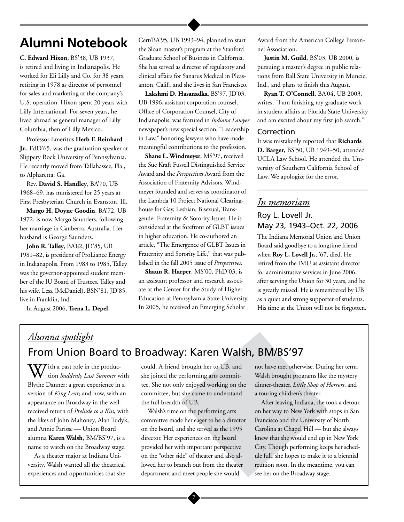# **Alumni Notebook**

**C. Edward Hixon**, BS'38, UB 1937, is retired and living in Indianapolis. He worked for Eli Lilly and Co. for 38 years, retiring in 1978 as director of personnel for sales and marketing at the company's U.S. operation. Hixon spent 20 years with Lilly International. For seven years, he lived abroad as general manager of Lilly Columbia, then of Lilly Mexico.

Professor Emeritus **Herb F. Reinhard Jr.**, EdD'65, was the graduation speaker at Slippery Rock University of Pennsylvania. He recently moved from Tallahassee, Fla., to Alpharetta, Ga.

Rev. **David S. Handley**, BA'70, UB 1968–69, has ministered for 25 years at First Presbyterian Church in Evanston, Ill.

**Margo H. Doyne Goodin**, BA'72, UB 1972, is now Margo Saunders, following her marriage in Canberra, Australia. Her husband is George Saunders.

**John R. Talley**, BA'82, JD'85, UB 1981–82, is president of ProLiance Energy in Indianapolis. From 1983 to 1985, Talley was the governor-appointed student member of the IU Board of Trustees. Talley and his wife, Lesa (McDaniel), BSN'81, JD'85, live in Franklin, Ind.

In August 2006, **Trena L. Depel**,

Cert/BA'95, UB 1993–94, planned to start the Sloan master's program at the Stanford Graduate School of Business in California. She has served as director of regulatory and clinical affairs for Sanarus Medical in Pleasanton, Calif., and she lives in San Francisco.

**Lakshmi D. Hasanadka**, BS'97, JD'03, UB 1996, assistant corporation counsel, Office of Corporation Counsel, City of Indianapolis, was featured in *Indiana Lawyer* newspaper's new special section, "Leadership in Law," honoring lawyers who have made meaningful contributions to the profession.

**Shane L. Windmeyer**, MS'97, received the Sue Kraft Fussell Distinguished Service Award and the *Perspectives* Award from the Association of Fraternity Advisors. Windmeyer founded and serves as coordinator of the Lambda 10 Project National Clearinghouse for Gay, Lesbian, Bisexual, Transgender Fraternity & Sorority Issues. He is considered at the forefront of GLBT issues in higher education. He co-authored an article, "The Emergence of GLBT Issues in Fraternity and Sorority Life," that was published in the fall 2005 issue of *Perspectives*.

**Shaun R. Harper**, MS'00, PhD'03, is an assistant professor and research associate at the Center for the Study of Higher Education at Pennsylvania State University. In 2005, he received an Emerging Scholar

Award from the American College Personnel Association.

**Justin M. Guild**, BS'03, UB 2000, is pursuing a master's degree in public relations from Ball State University in Muncie, Ind., and plans to finish this August.

**Ryan T. O'Connell**, BA'04, UB 2003, writes, "I am finishing my graduate work in student affairs at Florida State University and am excited about my first job search."

### Correction

It was mistakenly reported that **Richards D. Barger**, BS'50, UB 1949–50, attended UCLA Law School. He attended the University of Southern California School of Law. We apologize for the error.

## *In memoriam* Roy L. Lovell Jr.

### May 23, 1943–Oct. 22, 2006

The Indiana Memorial Union and Union Board said goodbye to a longtime friend when **Roy L. Lovell Jr.**, '67, died. He retired from the IMU as assistant director for administrative services in June 2006, after serving the Union for 30 years, and he is greatly missed. He is remembered by UB as a quiet and strong supporter of students. His time at the Union will not be forgotten.

# *Alumna spotlight* From Union Board to Broadway: Karen Walsh, BM/BS'97

 $\bf W$ *T* ith a past role in the production *Suddenly Last Summer* with Blythe Danner; a great experience in a version of *King Lear*; and now, with an appearance on Broadway in the wellreceived return of *Prelude to a Kiss,* with the likes of John Mahoney, Alan Tudyk, and Annie Parisse — Union Board alumna **Karen Walsh**, BM/BS'97, is a name to watch on the Broadway stage.

As a theater major at Indiana University, Walsh wanted all the theatrical experiences and opportunities that she could. A friend brought her to UB, and she joined the performing arts committee. She not only enjoyed working on the committee, but she came to understand the full breadth of UB.

Walsh's time on the performing arts committee made her eager to be a director on the board, and she served as the 1995 director. Her experiences on the board provided her with important perspective on the "other side" of theater and also allowed her to branch out from the theater department and meet people she would

not have met otherwise. During her term, Walsh brought programs like the mystery dinner-theater, *Little Shop of Horrors*, and a touring children's theater.

After leaving Indiana, she took a detour on her way to New York with stops in San Francisco and the University of North Carolina at Chapel Hill — but she always knew that she would end up in New York City. Though performing keeps her schedule full, she hopes to make it to a biennial reunion soon. In the meantime, you can see her on the Broadway stage.